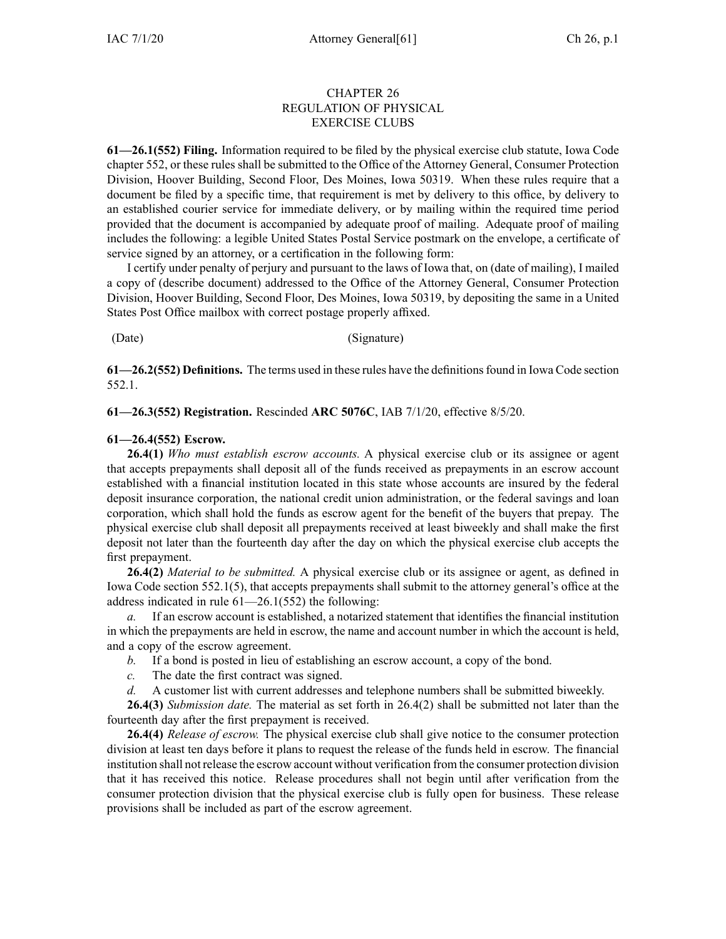## CHAPTER 26 REGULATION OF PHYSICAL EXERCISE CLUBS

**61—26.1(552) Filing.** Information required to be filed by the physical exercise club statute, Iowa Code chapter [552](https://www.legis.iowa.gov/docs/ico/chapter/552.pdf), or these rules shall be submitted to the Office of the Attorney General, Consumer Protection Division, Hoover Building, Second Floor, Des Moines, Iowa 50319. When these rules require that <sup>a</sup> document be filed by <sup>a</sup> specific time, that requirement is met by delivery to this office, by delivery to an established courier service for immediate delivery, or by mailing within the required time period provided that the document is accompanied by adequate proof of mailing. Adequate proof of mailing includes the following: <sup>a</sup> legible United States Postal Service postmark on the envelope, <sup>a</sup> certificate of service signed by an attorney, or <sup>a</sup> certification in the following form:

I certify under penalty of perjury and pursuan<sup>t</sup> to the laws of Iowa that, on (date of mailing), I mailed <sup>a</sup> copy of (describe document) addressed to the Office of the Attorney General, Consumer Protection Division, Hoover Building, Second Floor, Des Moines, Iowa 50319, by depositing the same in <sup>a</sup> United States Post Office mailbox with correct postage properly affixed.

(Date) (Signature)

**61—26.2(552) Definitions.** The terms used in these rules have the definitionsfound in Iowa Code section [552.1](https://www.legis.iowa.gov/docs/ico/section/552.1.pdf).

**61—26.3(552) Registration.** Rescinded **ARC 5076C**, IAB [7/1/20](https://www.legis.iowa.gov/docs/aco/bulletin/07-01-2020.pdf), effective 8/5/20.

## **61—26.4(552) Escrow.**

**26.4(1)** *Who must establish escrow accounts.* A physical exercise club or its assignee or agen<sup>t</sup> that accepts prepayments shall deposit all of the funds received as prepayments in an escrow account established with <sup>a</sup> financial institution located in this state whose accounts are insured by the federal deposit insurance corporation, the national credit union administration, or the federal savings and loan corporation, which shall hold the funds as escrow agen<sup>t</sup> for the benefit of the buyers that prepay. The physical exercise club shall deposit all prepayments received at least biweekly and shall make the first deposit not later than the fourteenth day after the day on which the physical exercise club accepts the first prepayment.

**26.4(2)** *Material to be submitted.* A physical exercise club or its assignee or agent, as defined in Iowa Code section [552.1\(5\)](https://www.legis.iowa.gov/docs/ico/section/552.1.pdf), that accepts prepayments shall submit to the attorney general's office at the address indicated in rule [61—26.1\(552\)](https://www.legis.iowa.gov/docs/iac/rule/61.26.1.pdf) the following:

*a.* If an escrow account is established, <sup>a</sup> notarized statement that identifies the financial institution in which the prepayments are held in escrow, the name and account number in which the account is held, and <sup>a</sup> copy of the escrow agreement.

*b.* If <sup>a</sup> bond is posted in lieu of establishing an escrow account, <sup>a</sup> copy of the bond.

*c.* The date the first contract was signed.

*d.* A customer list with current addresses and telephone numbers shall be submitted biweekly.

**26.4(3)** *Submission date.* The material as set forth in [26.4\(2\)](https://www.legis.iowa.gov/docs/iac/rule/61.26.4.pdf) shall be submitted not later than the fourteenth day after the first prepaymen<sup>t</sup> is received.

**26.4(4)** *Release of escrow.* The physical exercise club shall give notice to the consumer protection division at least ten days before it plans to reques<sup>t</sup> the release of the funds held in escrow. The financial institution shall not release the escrow account without verification from the consumer protection division that it has received this notice. Release procedures shall not begin until after verification from the consumer protection division that the physical exercise club is fully open for business. These release provisions shall be included as par<sup>t</sup> of the escrow agreement.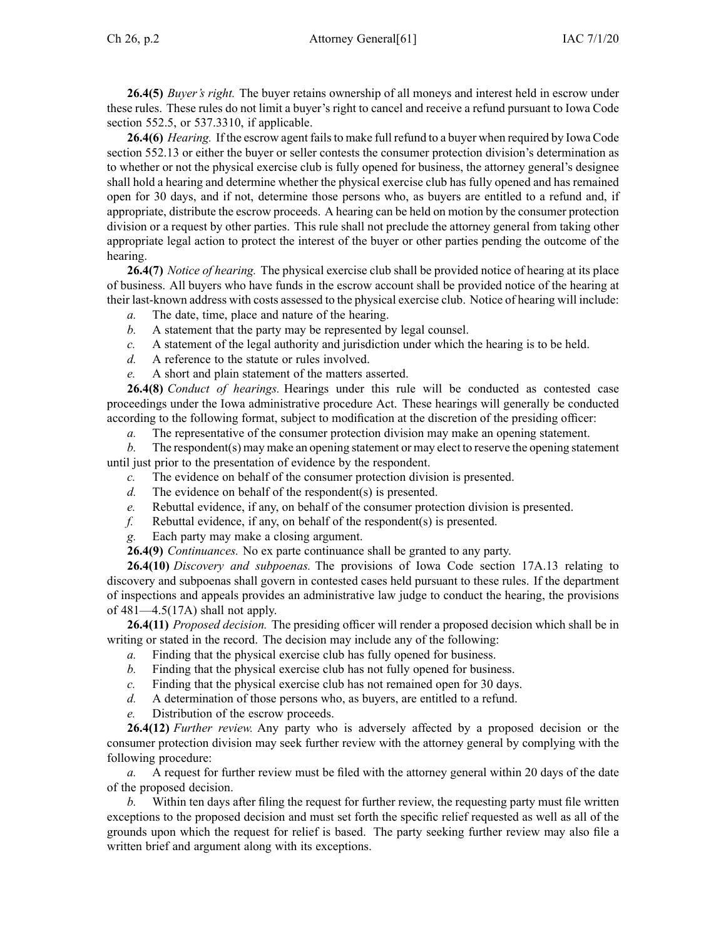**26.4(5)** *Buyer's right.* The buyer retains ownership of all moneys and interest held in escrow under these rules. These rules do not limit <sup>a</sup> buyer's right to cancel and receive <sup>a</sup> refund pursuan<sup>t</sup> to Iowa Code section [552.5](https://www.legis.iowa.gov/docs/ico/section/552.5.pdf), or [537.3310](https://www.legis.iowa.gov/docs/ico/section/537.3310.pdf), if applicable.

**26.4(6)** *Hearing.* If the escrow agen<sup>t</sup> failsto make full refund to <sup>a</sup> buyer when required by Iowa Code section [552.13](https://www.legis.iowa.gov/docs/ico/section/552.13.pdf) or either the buyer or seller contests the consumer protection division's determination as to whether or not the physical exercise club is fully opened for business, the attorney general's designee shall hold <sup>a</sup> hearing and determine whether the physical exercise club has fully opened and has remained open for 30 days, and if not, determine those persons who, as buyers are entitled to <sup>a</sup> refund and, if appropriate, distribute the escrow proceeds. A hearing can be held on motion by the consumer protection division or <sup>a</sup> reques<sup>t</sup> by other parties. This rule shall not preclude the attorney general from taking other appropriate legal action to protect the interest of the buyer or other parties pending the outcome of the hearing.

**26.4(7)** *Notice of hearing.* The physical exercise club shall be provided notice of hearing at its place of business. All buyers who have funds in the escrow account shall be provided notice of the hearing at their last-known address with costs assessed to the physical exercise club. Notice of hearing will include:

- *a.* The date, time, place and nature of the hearing.
- *b.* A statement that the party may be represented by legal counsel.
- *c.* A statement of the legal authority and jurisdiction under which the hearing is to be held.
- *d.* A reference to the statute or rules involved.
- *e.* A short and plain statement of the matters asserted.

**26.4(8)** *Conduct of hearings.* Hearings under this rule will be conducted as contested case proceedings under the Iowa administrative procedure Act. These hearings will generally be conducted according to the following format, subject to modification at the discretion of the presiding officer:

*a.* The representative of the consumer protection division may make an opening statement.

*b.* The respondent(s) may make an opening statement or may elect to reserve the opening statement until just prior to the presentation of evidence by the respondent.

- *c.* The evidence on behalf of the consumer protection division is presented.
- *d.* The evidence on behalf of the respondent(s) is presented.
- *e.* Rebuttal evidence, if any, on behalf of the consumer protection division is presented.
- *f.* Rebuttal evidence, if any, on behalf of the respondent(s) is presented.
- *g.* Each party may make <sup>a</sup> closing argument.

**26.4(9)** *Continuances.* No ex parte continuance shall be granted to any party.

**26.4(10)** *Discovery and subpoenas.* The provisions of Iowa Code section [17A.13](https://www.legis.iowa.gov/docs/ico/section/17A.13.pdf) relating to discovery and subpoenas shall govern in contested cases held pursuan<sup>t</sup> to these rules. If the department of inspections and appeals provides an administrative law judge to conduct the hearing, the provisions of  $481-4.5(17)$  shall not apply.

**26.4(11)** *Proposed decision.* The presiding officer will render <sup>a</sup> proposed decision which shall be in writing or stated in the record. The decision may include any of the following:

- *a.* Finding that the physical exercise club has fully opened for business.
- *b.* Finding that the physical exercise club has not fully opened for business.
- *c.* Finding that the physical exercise club has not remained open for 30 days.
- *d.* A determination of those persons who, as buyers, are entitled to <sup>a</sup> refund.
- *e.* Distribution of the escrow proceeds.

**26.4(12)** *Further review.* Any party who is adversely affected by <sup>a</sup> proposed decision or the consumer protection division may seek further review with the attorney general by complying with the following procedure:

*a.* A reques<sup>t</sup> for further review must be filed with the attorney general within 20 days of the date of the proposed decision.

*b.* Within ten days after filing the reques<sup>t</sup> for further review, the requesting party must file written exceptions to the proposed decision and must set forth the specific relief requested as well as all of the grounds upon which the reques<sup>t</sup> for relief is based. The party seeking further review may also file <sup>a</sup> written brief and argumen<sup>t</sup> along with its exceptions.